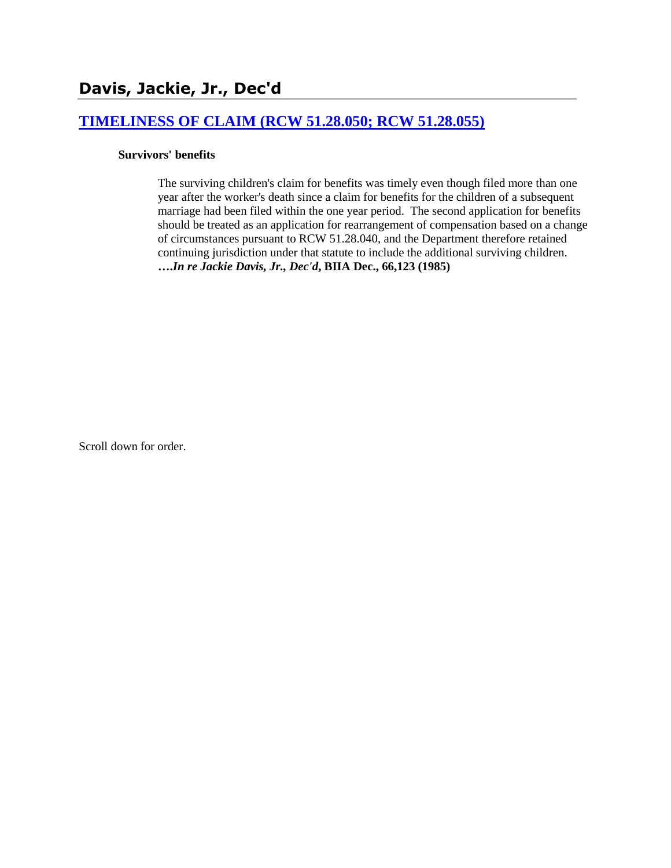# **[TIMELINESS OF CLAIM \(RCW 51.28.050; RCW 51.28.055\)](http://www.biia.wa.gov/SDSubjectIndex.html#TIMELINESS_OF_CLAIM)**

#### **Survivors' benefits**

The surviving children's claim for benefits was timely even though filed more than one year after the worker's death since a claim for benefits for the children of a subsequent marriage had been filed within the one year period. The second application for benefits should be treated as an application for rearrangement of compensation based on a change of circumstances pursuant to RCW 51.28.040, and the Department therefore retained continuing jurisdiction under that statute to include the additional surviving children. **….***In re Jackie Davis, Jr., Dec'd***, BIIA Dec., 66,123 (1985)** 

Scroll down for order.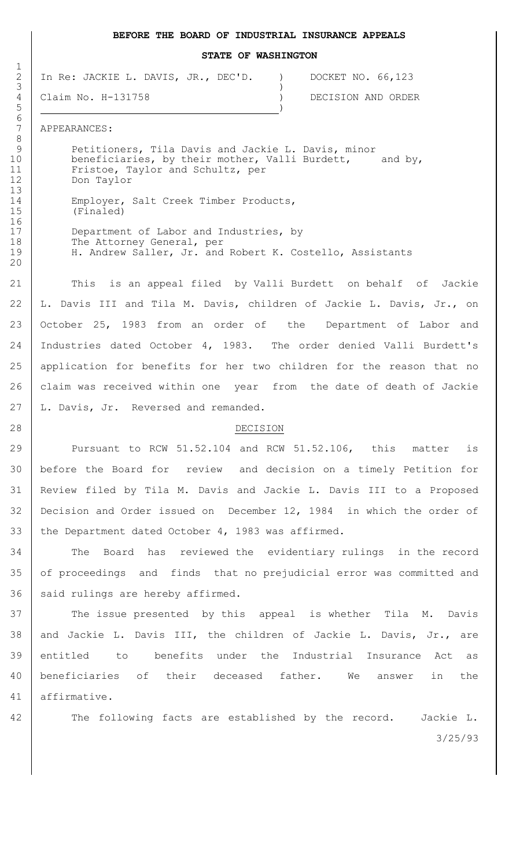#### **BEFORE THE BOARD OF INDUSTRIAL INSURANCE APPEALS**

**STATE OF WASHINGTON**

2 In Re: JACKIE L. DAVIS, JR., DEC'D. ) DOCKET NO. 66,123  $3 \left( \frac{1}{2} \right)$ 

4 Claim No. H-131758 ) DECISION AND ORDER

7 APPEARANCES:

 Petitioners, Tila Davis and Jackie L. Davis, minor 10 | beneficiaries, by their mother, Valli Burdett, and by, Fristoe, Taylor and Schultz, per Don Taylor

14 Employer, Salt Creek Timber Products,<br>15 (Finaled) (Finaled)

17 Department of Labor and Industries, by 18 The Attorney General, per 19 H. Andrew Saller, Jr. and Robert K. Costello, Assistants

 This is an appeal filed by Valli Burdett on behalf of Jackie L. Davis III and Tila M. Davis, children of Jackie L. Davis, Jr., on October 25, 1983 from an order of the Department of Labor and Industries dated October 4, 1983. The order denied Valli Burdett's application for benefits for her two children for the reason that no 26 | claim was received within one year from the date of death of Jackie 27 | L. Davis, Jr. Reversed and remanded.

## 28 DECISION

29 Pursuant to RCW 51.52.104 and RCW 51.52.106, this matter is 30 before the Board for review and decision on a timely Petition for 31 Review filed by Tila M. Davis and Jackie L. Davis III to a Proposed 32 Decision and Order issued on December 12, 1984 in which the order of 33 the Department dated October 4, 1983 was affirmed.

34 The Board has reviewed the evidentiary rulings in the record 35 of proceedings and finds that no prejudicial error was committed and  $36$  said rulings are hereby affirmed.

37 The issue presented by this appeal is whether Tila M. Davis 38 and Jackie L. Davis III, the children of Jackie L. Davis, Jr., are 39 entitled to benefits under the Industrial Insurance Act as 40 beneficiaries of their deceased father. We answer in the 41 affirmative.

3/25/93 42 The following facts are established by the record. Jackie L.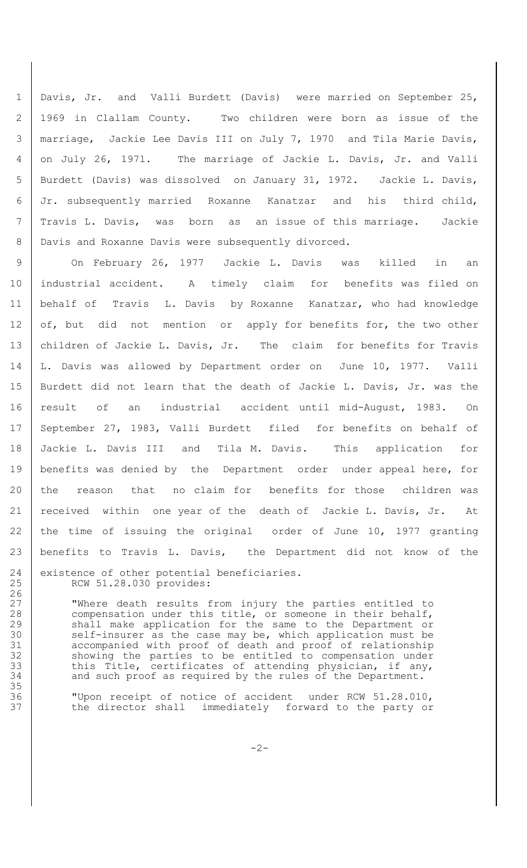Davis, Jr. and Valli Burdett (Davis) were married on September 25, 1969 in Clallam County. Two children were born as issue of the marriage, Jackie Lee Davis III on July 7, 1970 and Tila Marie Davis, on July 26, 1971. The marriage of Jackie L. Davis, Jr. and Valli Burdett (Davis) was dissolved on January 31, 1972. Jackie L. Davis, Jr. subsequently married Roxanne Kanatzar and his third child, Travis L. Davis, was born as an issue of this marriage. Jackie 8 | Davis and Roxanne Davis were subsequently divorced.

9 On February 26, 1977 Jackie L. Davis was killed in an industrial accident. A timely claim for benefits was filed on behalf of Travis L. Davis by Roxanne Kanatzar, who had knowledge 12 of, but did not mention or apply for benefits for, the two other 13 | children of Jackie L. Davis, Jr. The claim for benefits for Travis L. Davis was allowed by Department order on June 10, 1977. Valli Burdett did not learn that the death of Jackie L. Davis, Jr. was the result of an industrial accident until mid-August, 1983. On September 27, 1983, Valli Burdett filed for benefits on behalf of Jackie L. Davis III and Tila M. Davis. This application for 19 | benefits was denied by the Department order under appeal here, for 20 the reason that no claim for benefits for those children was received within one year of the death of Jackie L. Davis, Jr. At 22 the time of issuing the original order of June 10, 1977 granting benefits to Travis L. Davis, the Department did not know of the 24 existence of other potential beneficiaries. RCW 51.28.030 provides:

27 | Where death results from injury the parties entitled to compensation under this title, or someone in their behalf, 29 Shall make application for the same to the Department or<br>30 Self-insurer as the case may be, which application must be self-insurer as the case may be, which application must be accompanied with proof of death and proof of relationship 32 | showing the parties to be entitled to compensation under this Title, certificates of attending physician, if any, 34 and such proof as required by the rules of the Department.

 "Upon receipt of notice of accident under RCW 51.28.010, 37 the director shall immediately forward to the party or

 $-2-$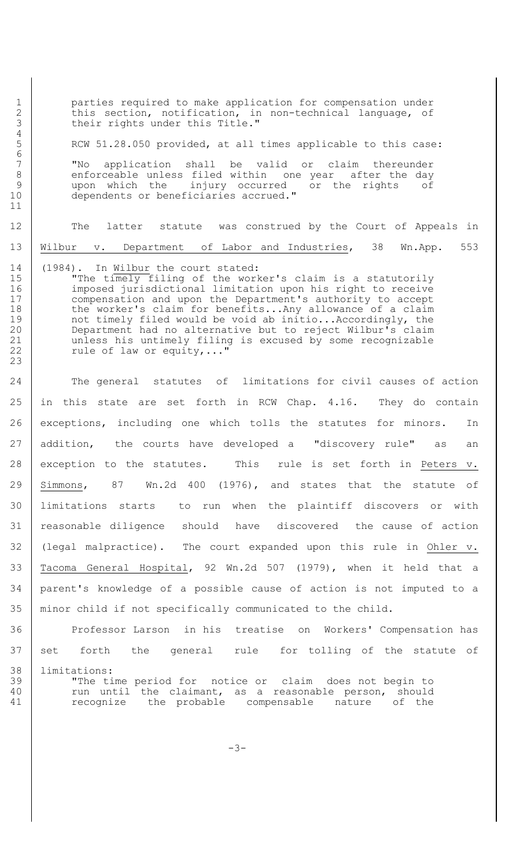2 this section, notification, in non-technical language, of their rights under this Title." their rights under this Title." 4 5 RCW 51.28.050 provided, at all times applicable to this case: 6 7 "No application shall be valid or claim thereunder 8 enforceable unless filed within one year after the day 9 | upon which the injury occurred or the rights of 10 | dependents or beneficiaries accrued." 11 12 The latter statute was construed by the Court of Appeals in 13 | Wilbur v. Department of Labor and Industries, 38 Wn.App. 553 14 (1984). In Wilbur the court stated: 15 | The timely filing of the worker's claim is a statutorily 16 imposed jurisdictional limitation upon his right to receive 17 compensation and upon the Department's authority to accept 18 the worker's claim for benefits...Any allowance of a claim 19 not timely filed would be void ab initio...Accordingly, the 20 Department had no alternative but to reject Wilbur's claim

21 | unless his untimely filing is excused by some recognizable

22 Tule of law or equity,..."

1 parties required to make application for compensation under

24 The general statutes of limitations for civil causes of action in this state are set forth in RCW Chap. 4.16. They do contain 26 exceptions, including one which tolls the statutes for minors. In 27 addition, the courts have developed a "discovery rule" as an exception to the statutes. This rule is set forth in Peters v. Simmons, 87 Wn.2d 400 (1976), and states that the statute of limitations starts to run when the plaintiff discovers or with reasonable diligence should have discovered the cause of action (legal malpractice). The court expanded upon this rule in Ohler v. Tacoma General Hospital, 92 Wn.2d 507 (1979), when it held that a parent's knowledge of a possible cause of action is not imputed to a minor child if not specifically communicated to the child.

36 Professor Larson in his treatise on Workers' Compensation has 37 set forth the general rule for tolling of the statute of 38 limitations: 39 | "The time period for notice or claim does not begin to

23

40 | run until the claimant, as a reasonable person, should 41 | recognize the probable compensable nature of the

-3-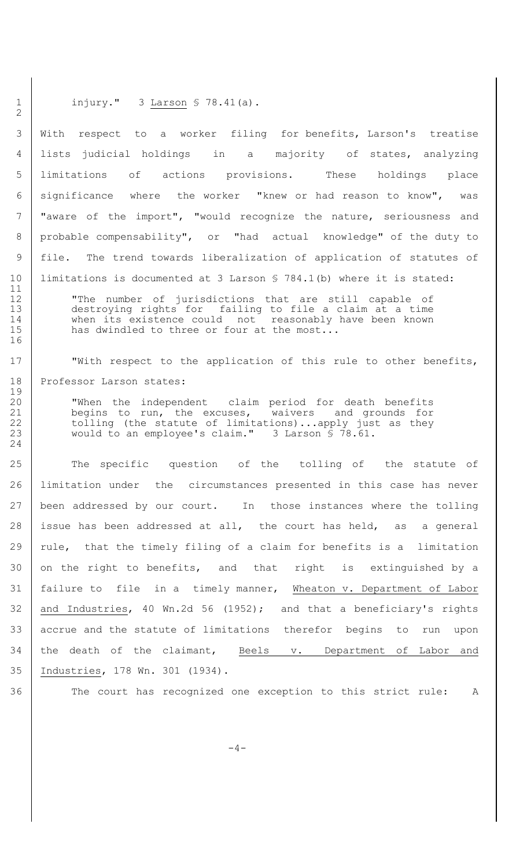### 1 | injury." 3 Larson § 78.41(a).

 With respect to a worker filing for benefits, Larson's treatise lists judicial holdings in a majority of states, analyzing limitations of actions provisions. These holdings place significance where the worker "knew or had reason to know", was 7 | "aware of the import", "would recognize the nature, seriousness and probable compensability", or "had actual knowledge" of the duty to file. The trend towards liberalization of application of statutes of limitations is documented at 3 Larson § 784.1(b) where it is stated:

 "The number of jurisdictions that are still capable of destroying rights for failing to file a claim at a time when its existence could not reasonably have been known 15 has dwindled to three or four at the most...

17 | With respect to the application of this rule to other benefits, 18 | Professor Larson states:

 "When the independent claim period for death benefits begins to run, the excuses, waivers and grounds for 22 tolling (the statute of limitations)...apply just as they would to an employee's claim." 3 Larson § 78.61.

25 The specific question of the tolling of the statute of 26 limitation under the circumstances presented in this case has never 27 been addressed by our court. In those instances where the tolling 28 issue has been addressed at all, the court has held, as a general 29 | rule, that the timely filing of a claim for benefits is a limitation 30 on the right to benefits, and that right is extinguished by a 31 failure to file in a timely manner, Wheaton v. Department of Labor 32 and Industries, 40 Wn.2d 56 (1952); and that a beneficiary's rights 33 accrue and the statute of limitations therefor begins to run upon 34 the death of the claimant, Beels v. Department of Labor and 35 Industries, 178 Wn. 301 (1934).

2

11

16

19

24

36 The court has recognized one exception to this strict rule: A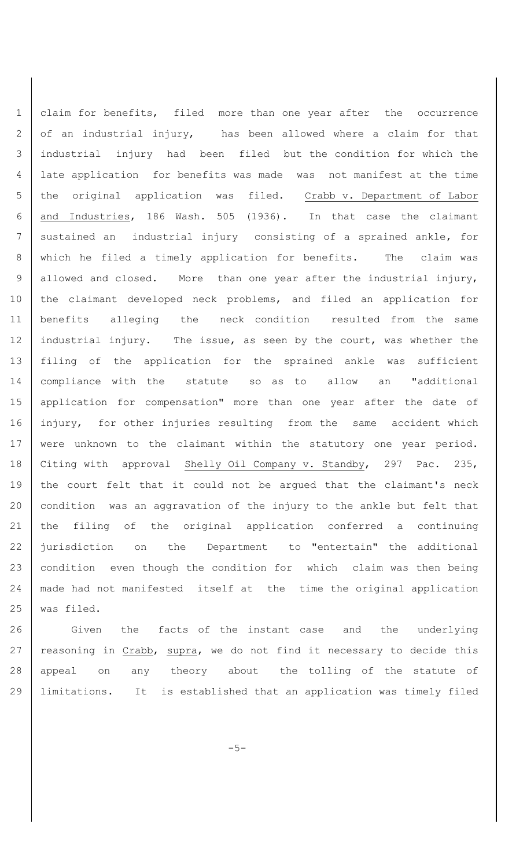claim for benefits, filed more than one year after the occurrence 2 of an industrial injury, has been allowed where a claim for that industrial injury had been filed but the condition for which the late application for benefits was made was not manifest at the time the original application was filed. Crabb v. Department of Labor and Industries, 186 Wash. 505 (1936). In that case the claimant 7 sustained an industrial injury consisting of a sprained ankle, for which he filed a timely application for benefits. The claim was 9 allowed and closed. More than one year after the industrial injury, the claimant developed neck problems, and filed an application for benefits alleging the neck condition resulted from the same 12 industrial injury. The issue, as seen by the court, was whether the filing of the application for the sprained ankle was sufficient compliance with the statute so as to allow an "additional application for compensation" more than one year after the date of 16 injury, for other injuries resulting from the same accident which 17 | were unknown to the claimant within the statutory one year period. 18 | Citing with approval Shelly Oil Company v. Standby, 297 Pac. 235, the court felt that it could not be argued that the claimant's neck condition was an aggravation of the injury to the ankle but felt that the filing of the original application conferred a continuing 22 jurisdiction on the Department to "entertain" the additional 23 condition even though the condition for which claim was then being made had not manifested itself at the time the original application was filed.

26 Given the facts of the instant case and the underlying 27 | reasoning in Crabb, supra, we do not find it necessary to decide this 28 | appeal on any theory about the tolling of the statute of 29 limitations. It is established that an application was timely filed

-5-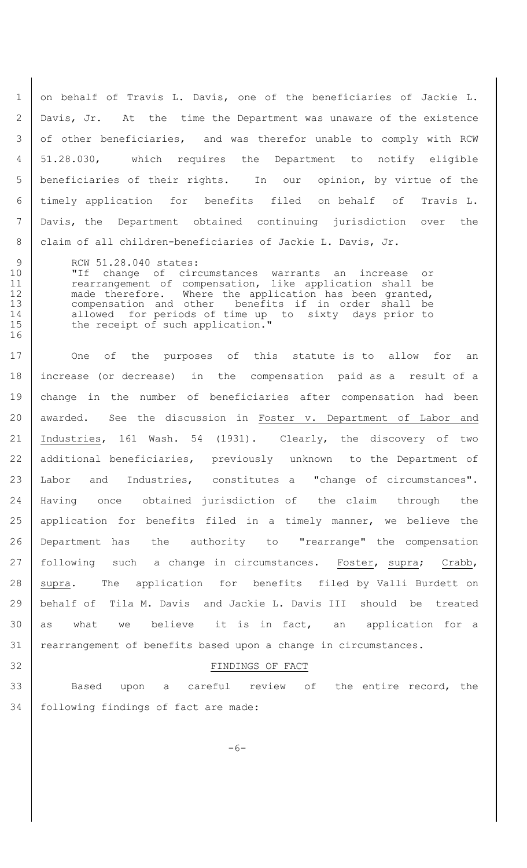1 on behalf of Travis L. Davis, one of the beneficiaries of Jackie L. Davis, Jr. At the time the Department was unaware of the existence 3 of other beneficiaries, and was therefor unable to comply with RCW 51.28.030, which requires the Department to notify eligible beneficiaries of their rights. In our opinion, by virtue of the timely application for benefits filed on behalf of Travis L. Davis, the Department obtained continuing jurisdiction over the 8 | claim of all children-beneficiaries of Jackie L. Davis, Jr.

9 RCW 51.28.040 states: 10 "If change of circumstances warrants an increase or 11 | rearrangement of compensation, like application shall be 12 | made therefore. Where the application has been granted, 13 compensation and other benefits if in order shall be 14 allowed for periods of time up to sixty days prior to 15 the receipt of such application."

17 One of the purposes of this statute is to allow for an 18 increase (or decrease) in the compensation paid as a result of a 19 change in the number of beneficiaries after compensation had been 20 awarded. See the discussion in Foster v. Department of Labor and 21 Industries, 161 Wash. 54 (1931). Clearly, the discovery of two 22 | additional beneficiaries, previously unknown to the Department of 23 Labor and Industries, constitutes a "change of circumstances". 24 Having once obtained jurisdiction of the claim through the 25 | application for benefits filed in a timely manner, we believe the 26 Department has the authority to "rearrange" the compensation 27 | following such a change in circumstances. Foster, supra; Crabb, 28 supra. The application for benefits filed by Valli Burdett on 29 behalf of Tila M. Davis and Jackie L. Davis III should be treated 30 as what we believe it is in fact, an application for a 31 | rearrangement of benefits based upon a change in circumstances.

16

32 FINDINGS OF FACT

33 Based upon a careful review of the entire record, the 34 following findings of fact are made:

 $-6-$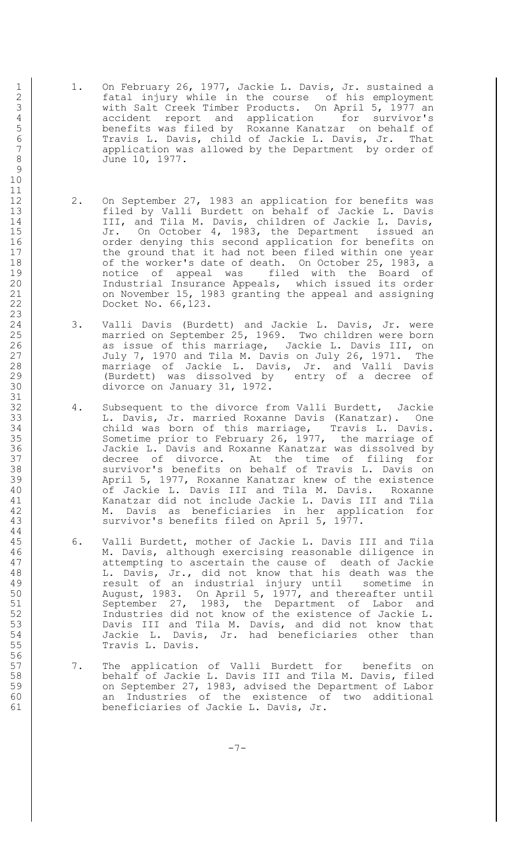- 1 1. On February 26, 1977, Jackie L. Davis, Jr. sustained a 2 fatal injury while in the course of his employment 3 with Salt Creek Timber Products. On April 5, 1977 an 4 accident report and application for survivor's<br>5 benefits was filed by Roxanne Kanatzar on behalf of 5 benefits was filed by Roxanne Kanatzar on behalf of 6 Travis L. Davis, child of Jackie L. Davis, Jr. That 7 application was allowed by the Department by order of 8 June 10, 1977.
- 12 | 2. On September 27, 1983 an application for benefits was 13 filed by Valli Burdett on behalf of Jackie L. Davis 14 | III, and Tila M. Davis, children of Jackie L. Davis, 15 Jr. On October 4, 1983, the Department issued an 16 | Corder denying this second application for benefits on 17 the ground that it had not been filed within one year 18 of the worker's date of death. On October 25, 1983, a 19 notice of appeal was filed with the Board of 20 | Thdustrial Insurance Appeals, which issued its order 21 | Con November 15, 1983 granting the appeal and assigning 22 Docket No. 66,123.
- 24 3. Valli Davis (Burdett) and Jackie L. Davis, Jr. were 25 married on September 25, 1969. Two children were born<br>26 as issue of this marriage, Jackie L. Davis III, on as issue of this marriage, Jackie L. Davis III, on 27 July 7, 1970 and Tila M. Davis on July 26, 1971. The 28 marriage of Jackie L. Davis, Jr. and Valli Davis 29 (Burdett) was dissolved by entry of a decree of 30 divorce on January 31, 1972.
- 32 4. Subsequent to the divorce from Valli Burdett, Jackie<br>33 1. Davis, Jr. married Roxanne Davis (Kanatzar). One 33 L. Davis, Jr. married Roxanne Davis (Kanatzar). One 34 child was born of this marriage, Travis L. Davis. 35 Sometime prior to February 26, 1977, the marriage of 36 Jackie L. Davis and Roxanne Kanatzar was dissolved by 37 decree of divorce. At the time of filing for 38 Survivor's benefits on behalf of Travis L. Davis on 39 April 5, 1977, Roxanne Kanatzar knew of the existence 40 | Contracter Godinal L. Davis III and Tila M. Davis. Roxanne 41 Kanatzar did not include Jackie L. Davis III and Tila 42 M. Davis as beneficiaries in her application for 43 | Survivor's benefits filed on April 5, 1977.
- 45 6. Valli Burdett, mother of Jackie L. Davis III and Tila 46 M. Davis, although exercising reasonable diligence in 47 | attempting to ascertain the cause of death of Jackie 48 L. Davis, Jr., did not know that his death was the 49 result of an industrial injury until sometime in 50 August, 1983. On April 5, 1977, and thereafter until 51 September 27, 1983, the Department of Labor and 52 Industries did not know of the existence of Jackie L. 53 Davis III and Tila M. Davis, and did not know that 54 Jackie L. Davis, Jr. had beneficiaries other than 55 Travis L. Davis.
- 57 | 7. The application of Valli Burdett for benefits on 58 behalf of Jackie L. Davis III and Tila M. Davis, filed 59 on September 27, 1983, advised the Department of Labor 60 an Industries of the existence of two additional 61 beneficiaries of Jackie L. Davis, Jr.